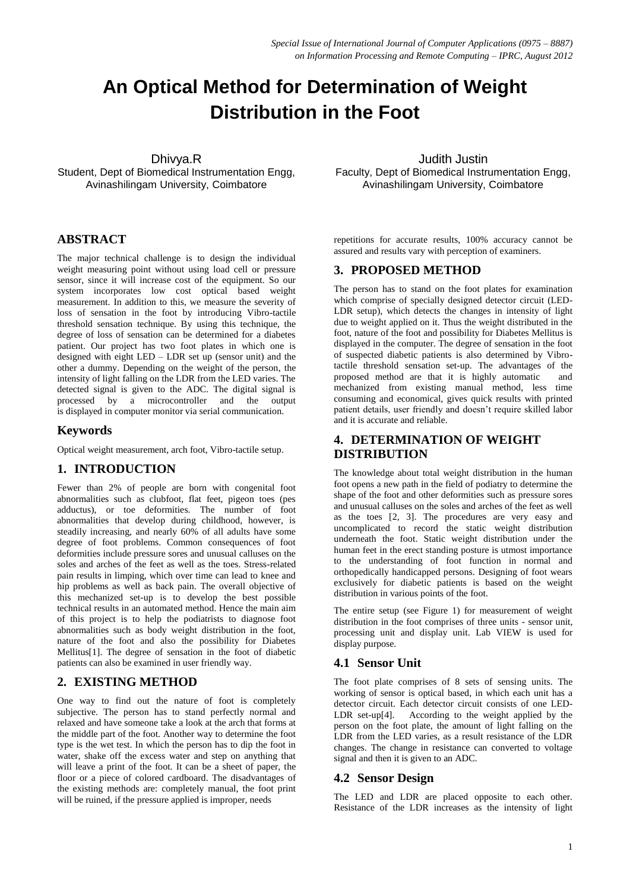# **An Optical Method for Determination of Weight Distribution in the Foot**

Dhivya.R

Student, Dept of Biomedical Instrumentation Engg, Avinashilingam University, Coimbatore

### **ABSTRACT**

The major technical challenge is to design the individual weight measuring point without using load cell or pressure sensor, since it will increase cost of the equipment. So our system incorporates low cost optical based weight measurement. In addition to this, we measure the severity of loss of sensation in the foot by introducing Vibro-tactile threshold sensation technique. By using this technique, the degree of loss of sensation can be determined for a diabetes patient. Our project has two foot plates in which one is designed with eight LED – LDR set up (sensor unit) and the other a dummy. Depending on the weight of the person, the intensity of light falling on the LDR from the LED varies. The detected signal is given to the ADC. The digital signal is processed by a microcontroller and the output is displayed in computer monitor via serial communication.

#### **Keywords**

Optical weight measurement, arch foot, Vibro-tactile setup.

#### **1. INTRODUCTION**

Fewer than 2% of people are born with congenital foot abnormalities such as clubfoot, flat feet, pigeon toes (pes adductus), or toe deformities. The number of foot abnormalities that develop during childhood, however, is steadily increasing, and nearly 60% of all adults have some degree of foot problems. Common consequences of foot deformities include pressure sores and unusual calluses on the soles and arches of the feet as well as the toes. Stress-related pain results in limping, which over time can lead to knee and hip problems as well as back pain. The overall objective of this mechanized set-up is to develop the best possible technical results in an automated method. Hence the main aim of this project is to help the podiatrists to diagnose foot abnormalities such as body weight distribution in the foot, nature of the foot and also the possibility for Diabetes Mellitus[1]. The degree of sensation in the foot of diabetic patients can also be examined in user friendly way.

#### **2. EXISTING METHOD**

One way to find out the nature of foot is completely subjective. The person has to stand perfectly normal and relaxed and have someone take a look at the arch that forms at the middle part of the foot. Another way to determine the foot type is the wet test. In which the person has to dip the foot in water, shake off the excess water and step on anything that will leave a print of the foot. It can be a sheet of paper, the floor or a piece of colored cardboard. The disadvantages of the existing methods are: completely manual, the foot print will be ruined, if the pressure applied is improper, needs

Judith Justin Faculty, Dept of Biomedical Instrumentation Engg, Avinashilingam University, Coimbatore

repetitions for accurate results, 100% accuracy cannot be assured and results vary with perception of examiners.

#### **3. PROPOSED METHOD**

The person has to stand on the foot plates for examination which comprise of specially designed detector circuit (LED-LDR setup), which detects the changes in intensity of light due to weight applied on it. Thus the weight distributed in the foot, nature of the foot and possibility for Diabetes Mellitus is displayed in the computer. The degree of sensation in the foot of suspected diabetic patients is also determined by Vibrotactile threshold sensation set-up. The advantages of the proposed method are that it is highly automatic and mechanized from existing manual method, less time consuming and economical, gives quick results with printed patient details, user friendly and doesn't require skilled labor and it is accurate and reliable.

## **4. DETERMINATION OF WEIGHT DISTRIBUTION**

The knowledge about total weight distribution in the human foot opens a new path in the field of podiatry to determine the shape of the foot and other deformities such as pressure sores and unusual calluses on the soles and arches of the feet as well as the toes [2, 3]. The procedures are very easy and uncomplicated to record the static weight distribution underneath the foot. Static weight distribution under the human feet in the erect standing posture is utmost importance to the understanding of foot function in normal and orthopedically handicapped persons. Designing of foot wears exclusively for diabetic patients is based on the weight distribution in various points of the foot.

The entire setup (see Figure 1) for measurement of weight distribution in the foot comprises of three units - sensor unit, processing unit and display unit. Lab VIEW is used for display purpose.

#### **4.1 Sensor Unit**

The foot plate comprises of 8 sets of sensing units. The working of sensor is optical based, in which each unit has a detector circuit. Each detector circuit consists of one LED-LDR set-up<sup>[4]</sup>. According to the weight applied by the person on the foot plate, the amount of light falling on the LDR from the LED varies, as a result resistance of the LDR changes. The change in resistance can converted to voltage signal and then it is given to an ADC.

#### **4.2 Sensor Design**

The LED and LDR are placed opposite to each other. Resistance of the LDR increases as the intensity of light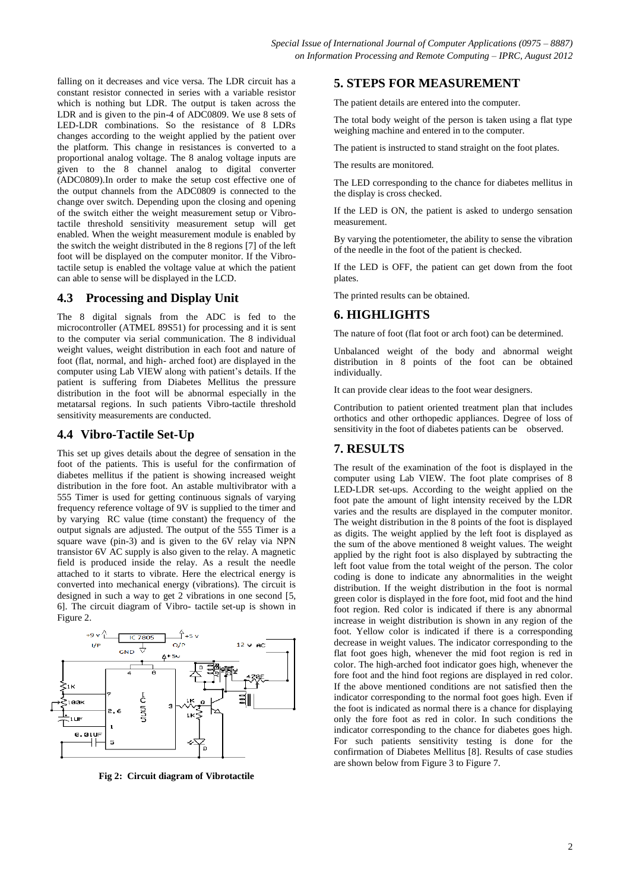falling on it decreases and vice versa. The LDR circuit has a constant resistor connected in series with a variable resistor which is nothing but LDR. The output is taken across the LDR and is given to the pin-4 of ADC0809. We use 8 sets of LED-LDR combinations. So the resistance of 8 LDRs changes according to the weight applied by the patient over the platform. This change in resistances is converted to a proportional analog voltage. The 8 analog voltage inputs are given to the 8 channel analog to digital converter (ADC0809).In order to make the setup cost effective one of the output channels from the ADC0809 is connected to the change over switch. Depending upon the closing and opening of the switch either the weight measurement setup or Vibrotactile threshold sensitivity measurement setup will get enabled. When the weight measurement module is enabled by the switch the weight distributed in the 8 regions [7] of the left foot will be displayed on the computer monitor. If the Vibrotactile setup is enabled the voltage value at which the patient can able to sense will be displayed in the LCD.

#### **4.3 Processing and Display Unit**

The 8 digital signals from the ADC is fed to the microcontroller (ATMEL 89S51) for processing and it is sent to the computer via serial communication. The 8 individual weight values, weight distribution in each foot and nature of foot (flat, normal, and high- arched foot) are displayed in the computer using Lab VIEW along with patient's details. If the patient is suffering from Diabetes Mellitus the pressure distribution in the foot will be abnormal especially in the metatarsal regions. In such patients Vibro-tactile threshold sensitivity measurements are conducted.

#### **4.4 Vibro-Tactile Set-Up**

This set up gives details about the degree of sensation in the foot of the patients. This is useful for the confirmation of diabetes mellitus if the patient is showing increased weight distribution in the fore foot. An astable multivibrator with a 555 Timer is used for getting continuous signals of varying frequency reference voltage of 9V is supplied to the timer and by varying RC value (time constant) the frequency of the output signals are adjusted. The output of the 555 Timer is a square wave (pin-3) and is given to the 6V relay via NPN transistor 6V AC supply is also given to the relay. A magnetic field is produced inside the relay. As a result the needle attached to it starts to vibrate. Here the electrical energy is converted into mechanical energy (vibrations). The circuit is designed in such a way to get 2 vibrations in one second [5, 6]. The circuit diagram of Vibro- tactile set-up is shown in Figure 2.



**Fig 2: Circuit diagram of Vibrotactile** 

#### **5. STEPS FOR MEASUREMENT**

The patient details are entered into the computer.

The total body weight of the person is taken using a flat type weighing machine and entered in to the computer.

The patient is instructed to stand straight on the foot plates.

The results are monitored.

The LED corresponding to the chance for diabetes mellitus in the display is cross checked.

If the LED is ON, the patient is asked to undergo sensation measurement.

By varying the potentiometer, the ability to sense the vibration of the needle in the foot of the patient is checked.

If the LED is OFF, the patient can get down from the foot plates.

The printed results can be obtained.

#### **6. HIGHLIGHTS**

The nature of foot (flat foot or arch foot) can be determined.

Unbalanced weight of the body and abnormal weight distribution in 8 points of the foot can be obtained individually.

It can provide clear ideas to the foot wear designers.

Contribution to patient oriented treatment plan that includes orthotics and other orthopedic appliances. Degree of loss of sensitivity in the foot of diabetes patients can be observed.

#### **7. RESULTS**

The result of the examination of the foot is displayed in the computer using Lab VIEW. The foot plate comprises of 8 LED-LDR set-ups. According to the weight applied on the foot pate the amount of light intensity received by the LDR varies and the results are displayed in the computer monitor. The weight distribution in the 8 points of the foot is displayed as digits. The weight applied by the left foot is displayed as the sum of the above mentioned 8 weight values. The weight applied by the right foot is also displayed by subtracting the left foot value from the total weight of the person. The color coding is done to indicate any abnormalities in the weight distribution. If the weight distribution in the foot is normal green color is displayed in the fore foot, mid foot and the hind foot region. Red color is indicated if there is any abnormal increase in weight distribution is shown in any region of the foot. Yellow color is indicated if there is a corresponding decrease in weight values. The indicator corresponding to the flat foot goes high, whenever the mid foot region is red in color. The high-arched foot indicator goes high, whenever the fore foot and the hind foot regions are displayed in red color. If the above mentioned conditions are not satisfied then the indicator corresponding to the normal foot goes high. Even if the foot is indicated as normal there is a chance for displaying only the fore foot as red in color. In such conditions the indicator corresponding to the chance for diabetes goes high. For such patients sensitivity testing is done for the confirmation of Diabetes Mellitus [8]. Results of case studies are shown below from Figure 3 to Figure 7.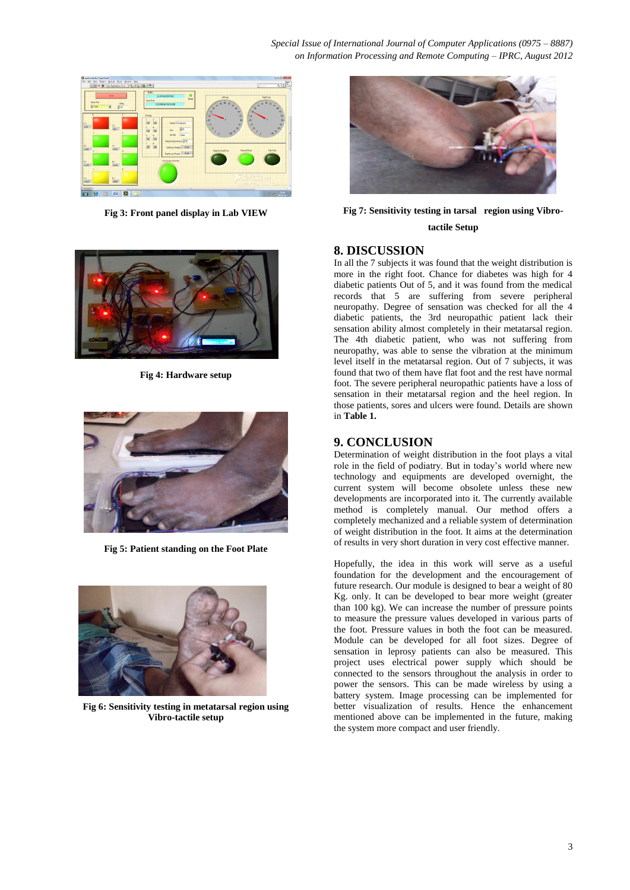

**Fig 3: Front panel display in Lab VIEW**



**Fig 4: Hardware setup**



**Fig 5: Patient standing on the Foot Plate**



**Fig 6: Sensitivity testing in metatarsal region using Vibro-tactile setup**



#### **Fig 7: Sensitivity testing in tarsal region using Vibrotactile Setup**

# **8. DISCUSSION**

In all the 7 subjects it was found that the weight distribution is more in the right foot. Chance for diabetes was high for 4 diabetic patients Out of 5, and it was found from the medical records that 5 are suffering from severe peripheral neuropathy. Degree of sensation was checked for all the 4 diabetic patients, the 3rd neuropathic patient lack their sensation ability almost completely in their metatarsal region. The 4th diabetic patient, who was not suffering from neuropathy, was able to sense the vibration at the minimum level itself in the metatarsal region. Out of 7 subjects, it was found that two of them have flat foot and the rest have normal foot. The severe peripheral neuropathic patients have a loss of sensation in their metatarsal region and the heel region. In those patients, sores and ulcers were found. Details are shown in **Table 1.**

#### **9. CONCLUSION**

Determination of weight distribution in the foot plays a vital role in the field of podiatry. But in today's world where new technology and equipments are developed overnight, the current system will become obsolete unless these new developments are incorporated into it. The currently available method is completely manual. Our method offers a completely mechanized and a reliable system of determination of weight distribution in the foot. It aims at the determination of results in very short duration in very cost effective manner.

Hopefully, the idea in this work will serve as a useful foundation for the development and the encouragement of future research. Our module is designed to bear a weight of 80 Kg. only. It can be developed to bear more weight (greater than 100 kg). We can increase the number of pressure points to measure the pressure values developed in various parts of the foot. Pressure values in both the foot can be measured. Module can be developed for all foot sizes. Degree of sensation in leprosy patients can also be measured. This project uses electrical power supply which should be connected to the sensors throughout the analysis in order to power the sensors. This can be made wireless by using a battery system. Image processing can be implemented for better visualization of results. Hence the enhancement mentioned above can be implemented in the future, making the system more compact and user friendly.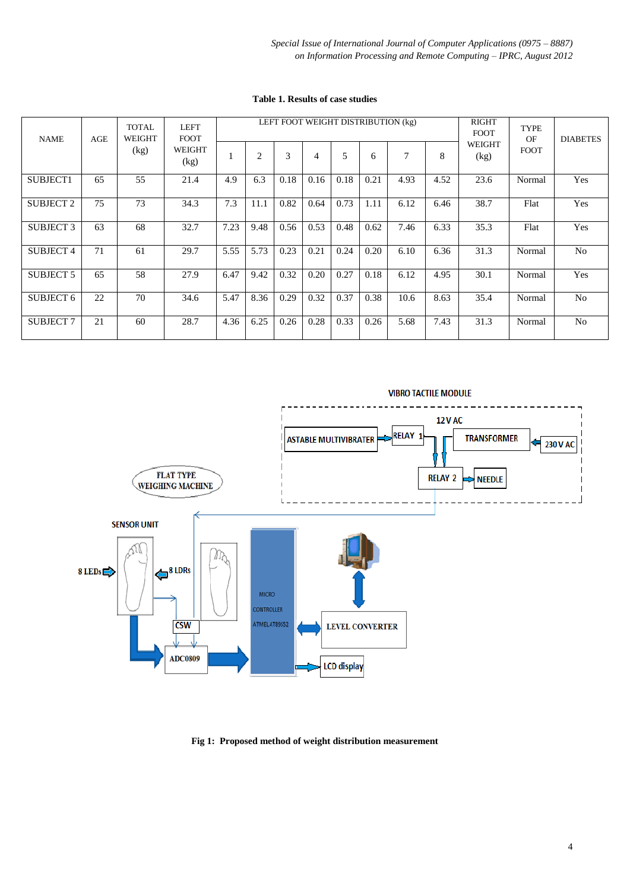*Special Issue of International Journal of Computer Applications (0975 – 8887) on Information Processing and Remote Computing – IPRC, August 2012*

| <b>NAME</b>      | AGE | <b>TOTAL</b><br>WEIGHT<br>(kg) | <b>LEFT</b><br><b>FOOT</b><br>WEIGHT<br>(kg) | LEFT FOOT WEIGHT DISTRIBUTION (kg) |                |      |      |      |      |      |      | <b>RIGHT</b><br><b>FOOT</b> | TYPE<br>OF  | <b>DIABETES</b> |
|------------------|-----|--------------------------------|----------------------------------------------|------------------------------------|----------------|------|------|------|------|------|------|-----------------------------|-------------|-----------------|
|                  |     |                                |                                              |                                    | $\overline{c}$ | 3    | 4    | 5    | 6    | 7    | 8    | <b>WEIGHT</b><br>(kg)       | <b>FOOT</b> |                 |
| SUBJECT1         | 65  | 55                             | 21.4                                         | 4.9                                | 6.3            | 0.18 | 0.16 | 0.18 | 0.21 | 4.93 | 4.52 | 23.6                        | Normal      | Yes             |
| <b>SUBJECT 2</b> | 75  | 73                             | 34.3                                         | 7.3                                | 11.1           | 0.82 | 0.64 | 0.73 | 1.11 | 6.12 | 6.46 | 38.7                        | Flat        | Yes             |
| <b>SUBJECT 3</b> | 63  | 68                             | 32.7                                         | 7.23                               | 9.48           | 0.56 | 0.53 | 0.48 | 0.62 | 7.46 | 6.33 | 35.3                        | Flat        | Yes             |
| <b>SUBJECT 4</b> | 71  | 61                             | 29.7                                         | 5.55                               | 5.73           | 0.23 | 0.21 | 0.24 | 0.20 | 6.10 | 6.36 | 31.3                        | Normal      | N <sub>o</sub>  |
| <b>SUBJECT 5</b> | 65  | 58                             | 27.9                                         | 6.47                               | 9.42           | 0.32 | 0.20 | 0.27 | 0.18 | 6.12 | 4.95 | 30.1                        | Normal      | Yes             |
| <b>SUBJECT 6</b> | 22  | 70                             | 34.6                                         | 5.47                               | 8.36           | 0.29 | 0.32 | 0.37 | 0.38 | 10.6 | 8.63 | 35.4                        | Normal      | N <sub>o</sub>  |
| <b>SUBJECT 7</b> | 21  | 60                             | 28.7                                         | 4.36                               | 6.25           | 0.26 | 0.28 | 0.33 | 0.26 | 5.68 | 7.43 | 31.3                        | Normal      | No              |

**Table 1. Results of case studies**



**Fig 1: Proposed method of weight distribution measurement**